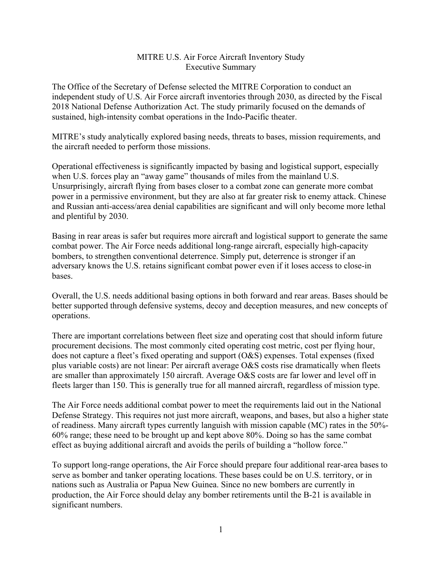## MITRE U.S. Air Force Aircraft Inventory Study Executive Summary

The Office of the Secretary of Defense selected the MITRE Corporation to conduct an independent study of U.S. Air Force aircraft inventories through 2030, as directed by the Fiscal 2018 National Defense Authorization Act. The study primarily focused on the demands of sustained, high-intensity combat operations in the Indo-Pacific theater.

MITRE's study analytically explored basing needs, threats to bases, mission requirements, and the aircraft needed to perform those missions.

Operational effectiveness is significantly impacted by basing and logistical support, especially when U.S. forces play an "away game" thousands of miles from the mainland U.S. Unsurprisingly, aircraft flying from bases closer to a combat zone can generate more combat power in a permissive environment, but they are also at far greater risk to enemy attack. Chinese and Russian anti-access/area denial capabilities are significant and will only become more lethal and plentiful by 2030.

Basing in rear areas is safer but requires more aircraft and logistical support to generate the same combat power. The Air Force needs additional long-range aircraft, especially high-capacity bombers, to strengthen conventional deterrence. Simply put, deterrence is stronger if an adversary knows the U.S. retains significant combat power even if it loses access to close-in bases.

Overall, the U.S. needs additional basing options in both forward and rear areas. Bases should be better supported through defensive systems, decoy and deception measures, and new concepts of operations.

There are important correlations between fleet size and operating cost that should inform future procurement decisions. The most commonly cited operating cost metric, cost per flying hour, does not capture a fleet's fixed operating and support (O&S) expenses. Total expenses (fixed plus variable costs) are not linear: Per aircraft average O&S costs rise dramatically when fleets are smaller than approximately 150 aircraft. Average O&S costs are far lower and level off in fleets larger than 150. This is generally true for all manned aircraft, regardless of mission type.

The Air Force needs additional combat power to meet the requirements laid out in the National Defense Strategy. This requires not just more aircraft, weapons, and bases, but also a higher state of readiness. Many aircraft types currently languish with mission capable (MC) rates in the 50%- 60% range; these need to be brought up and kept above 80%. Doing so has the same combat effect as buying additional aircraft and avoids the perils of building a "hollow force."

To support long-range operations, the Air Force should prepare four additional rear-area bases to serve as bomber and tanker operating locations. These bases could be on U.S. territory, or in nations such as Australia or Papua New Guinea. Since no new bombers are currently in production, the Air Force should delay any bomber retirements until the B-21 is available in significant numbers.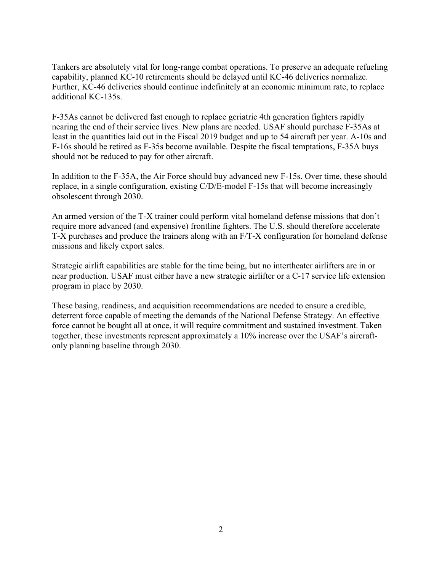Tankers are absolutely vital for long-range combat operations. To preserve an adequate refueling capability, planned KC-10 retirements should be delayed until KC-46 deliveries normalize. Further, KC-46 deliveries should continue indefinitely at an economic minimum rate, to replace additional KC-135s.

F-35As cannot be delivered fast enough to replace geriatric 4th generation fighters rapidly nearing the end of their service lives. New plans are needed. USAF should purchase F-35As at least in the quantities laid out in the Fiscal 2019 budget and up to 54 aircraft per year. A-10s and F-16s should be retired as F-35s become available. Despite the fiscal temptations, F-35A buys should not be reduced to pay for other aircraft.

In addition to the F-35A, the Air Force should buy advanced new F-15s. Over time, these should replace, in a single configuration, existing C/D/E-model F-15s that will become increasingly obsolescent through 2030.

An armed version of the T-X trainer could perform vital homeland defense missions that don't require more advanced (and expensive) frontline fighters. The U.S. should therefore accelerate T-X purchases and produce the trainers along with an F/T-X configuration for homeland defense missions and likely export sales.

Strategic airlift capabilities are stable for the time being, but no intertheater airlifters are in or near production. USAF must either have a new strategic airlifter or a C-17 service life extension program in place by 2030.

These basing, readiness, and acquisition recommendations are needed to ensure a credible, deterrent force capable of meeting the demands of the National Defense Strategy. An effective force cannot be bought all at once, it will require commitment and sustained investment. Taken together, these investments represent approximately a 10% increase over the USAF's aircraftonly planning baseline through 2030.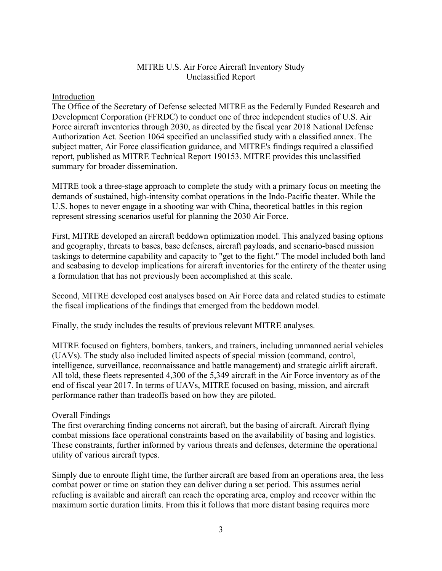# MITRE U.S. Air Force Aircraft Inventory Study Unclassified Report

### Introduction

The Office of the Secretary of Defense selected MITRE as the Federally Funded Research and Development Corporation (FFRDC) to conduct one of three independent studies of U.S. Air Force aircraft inventories through 2030, as directed by the fiscal year 2018 National Defense Authorization Act. Section 1064 specified an unclassified study with a classified annex. The subject matter, Air Force classification guidance, and MITRE's findings required a classified report, published as MITRE Technical Report 190153. MITRE provides this unclassified summary for broader dissemination.

MITRE took a three-stage approach to complete the study with a primary focus on meeting the demands of sustained, high-intensity combat operations in the Indo-Pacific theater. While the U.S. hopes to never engage in a shooting war with China, theoretical battles in this region represent stressing scenarios useful for planning the 2030 Air Force.

First, MITRE developed an aircraft beddown optimization model. This analyzed basing options and geography, threats to bases, base defenses, aircraft payloads, and scenario-based mission taskings to determine capability and capacity to "get to the fight." The model included both land and seabasing to develop implications for aircraft inventories for the entirety of the theater using a formulation that has not previously been accomplished at this scale.

Second, MITRE developed cost analyses based on Air Force data and related studies to estimate the fiscal implications of the findings that emerged from the beddown model.

Finally, the study includes the results of previous relevant MITRE analyses.

MITRE focused on fighters, bombers, tankers, and trainers, including unmanned aerial vehicles (UAVs). The study also included limited aspects of special mission (command, control, intelligence, surveillance, reconnaissance and battle management) and strategic airlift aircraft. All told, these fleets represented 4,300 of the 5,349 aircraft in the Air Force inventory as of the end of fiscal year 2017. In terms of UAVs, MITRE focused on basing, mission, and aircraft performance rather than tradeoffs based on how they are piloted.

#### Overall Findings

The first overarching finding concerns not aircraft, but the basing of aircraft. Aircraft flying combat missions face operational constraints based on the availability of basing and logistics. These constraints, further informed by various threats and defenses, determine the operational utility of various aircraft types.

Simply due to enroute flight time, the further aircraft are based from an operations area, the less combat power or time on station they can deliver during a set period. This assumes aerial refueling is available and aircraft can reach the operating area, employ and recover within the maximum sortie duration limits. From this it follows that more distant basing requires more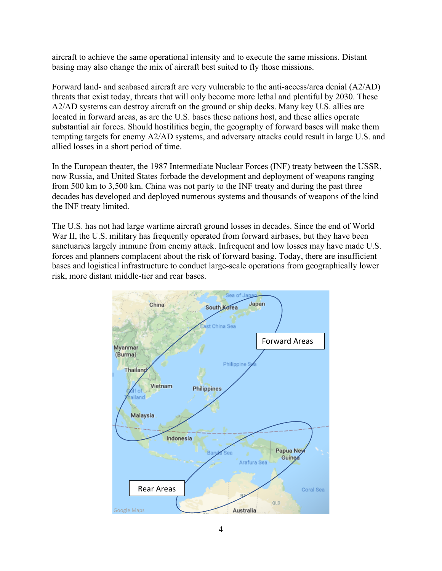aircraft to achieve the same operational intensity and to execute the same missions. Distant basing may also change the mix of aircraft best suited to fly those missions.

Forward land- and seabased aircraft are very vulnerable to the anti-access/area denial (A2/AD) threats that exist today, threats that will only become more lethal and plentiful by 2030. These A2/AD systems can destroy aircraft on the ground or ship decks. Many key U.S. allies are located in forward areas, as are the U.S. bases these nations host, and these allies operate substantial air forces. Should hostilities begin, the geography of forward bases will make them tempting targets for enemy A2/AD systems, and adversary attacks could result in large U.S. and allied losses in a short period of time.

In the European theater, the 1987 Intermediate Nuclear Forces (INF) treaty between the USSR, now Russia, and United States forbade the development and deployment of weapons ranging from 500 km to 3,500 km. China was not party to the INF treaty and during the past three decades has developed and deployed numerous systems and thousands of weapons of the kind the INF treaty limited.

The U.S. has not had large wartime aircraft ground losses in decades. Since the end of World War II, the U.S. military has frequently operated from forward airbases, but they have been sanctuaries largely immune from enemy attack. Infrequent and low losses may have made U.S. forces and planners complacent about the risk of forward basing. Today, there are insufficient bases and logistical infrastructure to conduct large-scale operations from geographically lower risk, more distant middle-tier and rear bases.

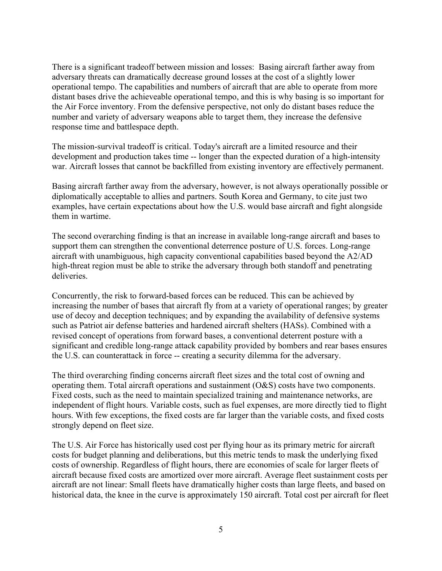There is a significant tradeoff between mission and losses: Basing aircraft farther away from adversary threats can dramatically decrease ground losses at the cost of a slightly lower operational tempo. The capabilities and numbers of aircraft that are able to operate from more distant bases drive the achieveable operational tempo, and this is why basing is so important for the Air Force inventory. From the defensive perspective, not only do distant bases reduce the number and variety of adversary weapons able to target them, they increase the defensive response time and battlespace depth.

The mission-survival tradeoff is critical. Today's aircraft are a limited resource and their development and production takes time -- longer than the expected duration of a high-intensity war. Aircraft losses that cannot be backfilled from existing inventory are effectively permanent.

Basing aircraft farther away from the adversary, however, is not always operationally possible or diplomatically acceptable to allies and partners. South Korea and Germany, to cite just two examples, have certain expectations about how the U.S. would base aircraft and fight alongside them in wartime.

The second overarching finding is that an increase in available long-range aircraft and bases to support them can strengthen the conventional deterrence posture of U.S. forces. Long-range aircraft with unambiguous, high capacity conventional capabilities based beyond the A2/AD high-threat region must be able to strike the adversary through both standoff and penetrating deliveries.

Concurrently, the risk to forward-based forces can be reduced. This can be achieved by increasing the number of bases that aircraft fly from at a variety of operational ranges; by greater use of decoy and deception techniques; and by expanding the availability of defensive systems such as Patriot air defense batteries and hardened aircraft shelters (HASs). Combined with a revised concept of operations from forward bases, a conventional deterrent posture with a significant and credible long-range attack capability provided by bombers and rear bases ensures the U.S. can counterattack in force -- creating a security dilemma for the adversary.

The third overarching finding concerns aircraft fleet sizes and the total cost of owning and operating them. Total aircraft operations and sustainment (O&S) costs have two components. Fixed costs, such as the need to maintain specialized training and maintenance networks, are independent of flight hours. Variable costs, such as fuel expenses, are more directly tied to flight hours. With few exceptions, the fixed costs are far larger than the variable costs, and fixed costs strongly depend on fleet size.

The U.S. Air Force has historically used cost per flying hour as its primary metric for aircraft costs for budget planning and deliberations, but this metric tends to mask the underlying fixed costs of ownership. Regardless of flight hours, there are economies of scale for larger fleets of aircraft because fixed costs are amortized over more aircraft. Average fleet sustainment costs per aircraft are not linear: Small fleets have dramatically higher costs than large fleets, and based on historical data, the knee in the curve is approximately 150 aircraft. Total cost per aircraft for fleet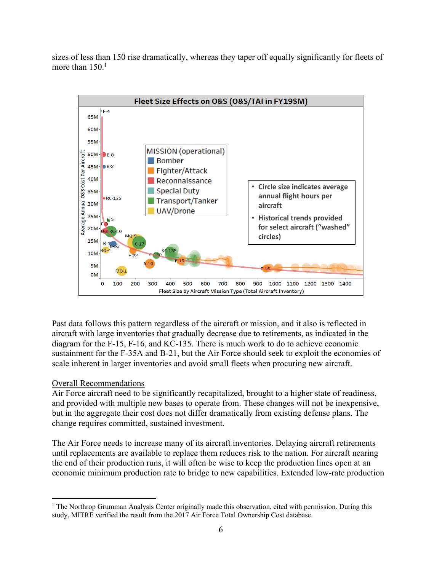sizes of less than 150 rise dramatically, whereas they taper off equally significantly for fleets of more than  $150<sup>1</sup>$ 



Past data follows this pattern regardless of the aircraft or mission, and it also is reflected in aircraft with large inventories that gradually decrease due to retirements, as indicated in the diagram for the F-15, F-16, and KC-135. There is much work to do to achieve economic sustainment for the F-35A and B-21, but the Air Force should seek to exploit the economies of scale inherent in larger inventories and avoid small fleets when procuring new aircraft.

#### Overall Recommendations

 $\overline{a}$ 

Air Force aircraft need to be significantly recapitalized, brought to a higher state of readiness, and provided with multiple new bases to operate from. These changes will not be inexpensive, but in the aggregate their cost does not differ dramatically from existing defense plans. The change requires committed, sustained investment.

The Air Force needs to increase many of its aircraft inventories. Delaying aircraft retirements until replacements are available to replace them reduces risk to the nation. For aircraft nearing the end of their production runs, it will often be wise to keep the production lines open at an economic minimum production rate to bridge to new capabilities. Extended low-rate production

<sup>&</sup>lt;sup>1</sup> The Northrop Grumman Analysis Center originally made this observation, cited with permission. During this study, MITRE verified the result from the 2017 Air Force Total Ownership Cost database.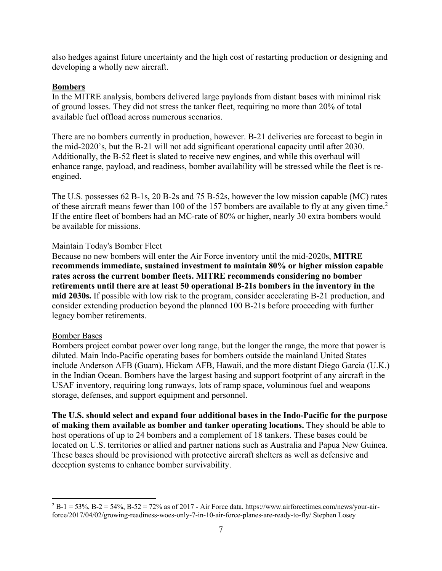also hedges against future uncertainty and the high cost of restarting production or designing and developing a wholly new aircraft.

## **Bombers**

In the MITRE analysis, bombers delivered large payloads from distant bases with minimal risk of ground losses. They did not stress the tanker fleet, requiring no more than 20% of total available fuel offload across numerous scenarios.

There are no bombers currently in production, however. B-21 deliveries are forecast to begin in the mid-2020's, but the B-21 will not add significant operational capacity until after 2030. Additionally, the B-52 fleet is slated to receive new engines, and while this overhaul will enhance range, payload, and readiness, bomber availability will be stressed while the fleet is reengined.

The U.S. possesses 62 B-1s, 20 B-2s and 75 B-52s, however the low mission capable (MC) rates of these aircraft means fewer than 100 of the 157 bombers are available to fly at any given time.<sup>2</sup> If the entire fleet of bombers had an MC-rate of 80% or higher, nearly 30 extra bombers would be available for missions.

## Maintain Today's Bomber Fleet

Because no new bombers will enter the Air Force inventory until the mid-2020s, **MITRE recommends immediate, sustained investment to maintain 80% or higher mission capable rates across the current bomber fleets. MITRE recommends considering no bomber retirements until there are at least 50 operational B-21s bombers in the inventory in the mid 2030s.** If possible with low risk to the program, consider accelerating B-21 production, and consider extending production beyond the planned 100 B-21s before proceeding with further legacy bomber retirements.

#### Bomber Bases

 $\overline{a}$ 

Bombers project combat power over long range, but the longer the range, the more that power is diluted. Main Indo-Pacific operating bases for bombers outside the mainland United States include Anderson AFB (Guam), Hickam AFB, Hawaii, and the more distant Diego Garcia (U.K.) in the Indian Ocean. Bombers have the largest basing and support footprint of any aircraft in the USAF inventory, requiring long runways, lots of ramp space, voluminous fuel and weapons storage, defenses, and support equipment and personnel.

**The U.S. should select and expand four additional bases in the Indo-Pacific for the purpose of making them available as bomber and tanker operating locations.** They should be able to host operations of up to 24 bombers and a complement of 18 tankers. These bases could be located on U.S. territories or allied and partner nations such as Australia and Papua New Guinea. These bases should be provisioned with protective aircraft shelters as well as defensive and deception systems to enhance bomber survivability.

 $2 B-1 = 53\%$ , B-2 = 54%, B-52 = 72% as of 2017 - Air Force data, https://www.airforcetimes.com/news/your-airforce/2017/04/02/growing-readiness-woes-only-7-in-10-air-force-planes-are-ready-to-fly/ Stephen Losey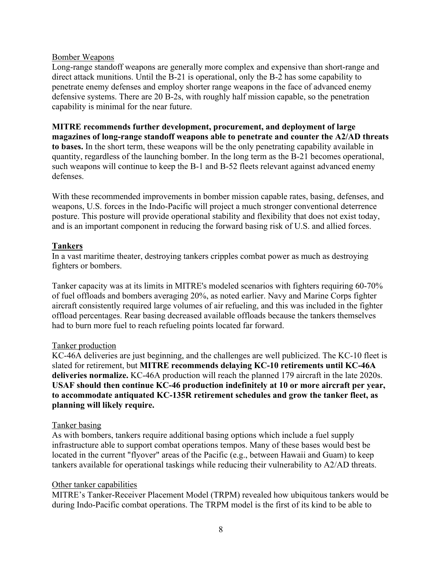#### Bomber Weapons

Long-range standoff weapons are generally more complex and expensive than short-range and direct attack munitions. Until the B-21 is operational, only the B-2 has some capability to penetrate enemy defenses and employ shorter range weapons in the face of advanced enemy defensive systems. There are 20 B-2s, with roughly half mission capable, so the penetration capability is minimal for the near future.

**MITRE recommends further development, procurement, and deployment of large magazines of long-range standoff weapons able to penetrate and counter the A2/AD threats to bases.** In the short term, these weapons will be the only penetrating capability available in quantity, regardless of the launching bomber. In the long term as the B-21 becomes operational, such weapons will continue to keep the B-1 and B-52 fleets relevant against advanced enemy defenses.

With these recommended improvements in bomber mission capable rates, basing, defenses, and weapons, U.S. forces in the Indo-Pacific will project a much stronger conventional deterrence posture. This posture will provide operational stability and flexibility that does not exist today, and is an important component in reducing the forward basing risk of U.S. and allied forces.

#### **Tankers**

In a vast maritime theater, destroying tankers cripples combat power as much as destroying fighters or bombers.

Tanker capacity was at its limits in MITRE's modeled scenarios with fighters requiring 60-70% of fuel offloads and bombers averaging 20%, as noted earlier. Navy and Marine Corps fighter aircraft consistently required large volumes of air refueling, and this was included in the fighter offload percentages. Rear basing decreased available offloads because the tankers themselves had to burn more fuel to reach refueling points located far forward.

#### Tanker production

KC-46A deliveries are just beginning, and the challenges are well publicized. The KC-10 fleet is slated for retirement, but **MITRE recommends delaying KC-10 retirements until KC-46A deliveries normalize.** KC-46A production will reach the planned 179 aircraft in the late 2020s. **USAF should then continue KC-46 production indefinitely at 10 or more aircraft per year, to accommodate antiquated KC-135R retirement schedules and grow the tanker fleet, as planning will likely require.**

#### Tanker basing

As with bombers, tankers require additional basing options which include a fuel supply infrastructure able to support combat operations tempos. Many of these bases would best be located in the current "flyover" areas of the Pacific (e.g., between Hawaii and Guam) to keep tankers available for operational taskings while reducing their vulnerability to A2/AD threats.

#### Other tanker capabilities

MITRE's Tanker-Receiver Placement Model (TRPM) revealed how ubiquitous tankers would be during Indo-Pacific combat operations. The TRPM model is the first of its kind to be able to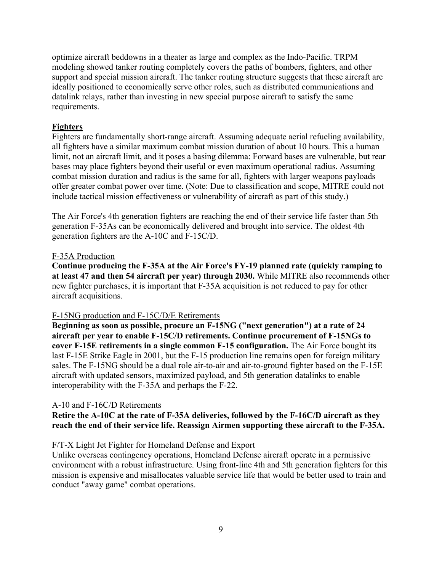optimize aircraft beddowns in a theater as large and complex as the Indo-Pacific. TRPM modeling showed tanker routing completely covers the paths of bombers, fighters, and other support and special mission aircraft. The tanker routing structure suggests that these aircraft are ideally positioned to economically serve other roles, such as distributed communications and datalink relays, rather than investing in new special purpose aircraft to satisfy the same requirements.

# **Fighters**

Fighters are fundamentally short-range aircraft. Assuming adequate aerial refueling availability, all fighters have a similar maximum combat mission duration of about 10 hours. This a human limit, not an aircraft limit, and it poses a basing dilemma: Forward bases are vulnerable, but rear bases may place fighters beyond their useful or even maximum operational radius. Assuming combat mission duration and radius is the same for all, fighters with larger weapons payloads offer greater combat power over time. (Note: Due to classification and scope, MITRE could not include tactical mission effectiveness or vulnerability of aircraft as part of this study.)

The Air Force's 4th generation fighters are reaching the end of their service life faster than 5th generation F-35As can be economically delivered and brought into service. The oldest 4th generation fighters are the A-10C and F-15C/D.

#### F-35A Production

**Continue producing the F-35A at the Air Force's FY-19 planned rate (quickly ramping to at least 47 and then 54 aircraft per year) through 2030.** While MITRE also recommends other new fighter purchases, it is important that F-35A acquisition is not reduced to pay for other aircraft acquisitions.

#### F-15NG production and F-15C/D/E Retirements

**Beginning as soon as possible, procure an F-15NG ("next generation") at a rate of 24 aircraft per year to enable F-15C/D retirements. Continue procurement of F-15NGs to cover F-15E retirements in a single common F-15 configuration.** The Air Force bought its last F-15E Strike Eagle in 2001, but the F-15 production line remains open for foreign military sales. The F-15NG should be a dual role air-to-air and air-to-ground fighter based on the F-15E aircraft with updated sensors, maximized payload, and 5th generation datalinks to enable interoperability with the F-35A and perhaps the F-22.

#### A-10 and F-16C/D Retirements

**Retire the A-10C at the rate of F-35A deliveries, followed by the F-16C/D aircraft as they reach the end of their service life. Reassign Airmen supporting these aircraft to the F-35A.**

#### F/T-X Light Jet Fighter for Homeland Defense and Export

Unlike overseas contingency operations, Homeland Defense aircraft operate in a permissive environment with a robust infrastructure. Using front-line 4th and 5th generation fighters for this mission is expensive and misallocates valuable service life that would be better used to train and conduct "away game" combat operations.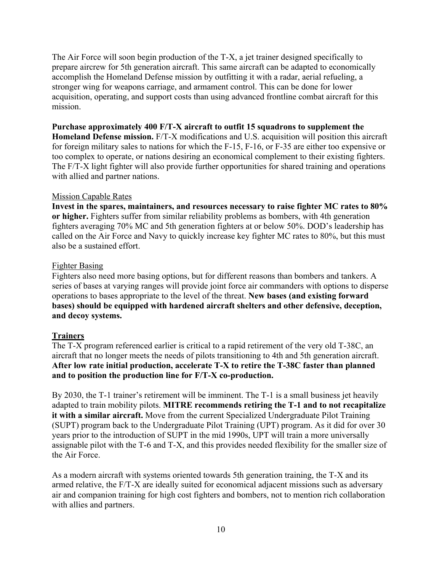The Air Force will soon begin production of the T-X, a jet trainer designed specifically to prepare aircrew for 5th generation aircraft. This same aircraft can be adapted to economically accomplish the Homeland Defense mission by outfitting it with a radar, aerial refueling, a stronger wing for weapons carriage, and armament control. This can be done for lower acquisition, operating, and support costs than using advanced frontline combat aircraft for this mission.

## **Purchase approximately 400 F/T-X aircraft to outfit 15 squadrons to supplement the**

**Homeland Defense mission.** F/T-X modifications and U.S. acquisition will position this aircraft for foreign military sales to nations for which the F-15, F-16, or F-35 are either too expensive or too complex to operate, or nations desiring an economical complement to their existing fighters. The F/T-X light fighter will also provide further opportunities for shared training and operations with allied and partner nations.

## Mission Capable Rates

**Invest in the spares, maintainers, and resources necessary to raise fighter MC rates to 80% or higher.** Fighters suffer from similar reliability problems as bombers, with 4th generation fighters averaging 70% MC and 5th generation fighters at or below 50%. DOD's leadership has called on the Air Force and Navy to quickly increase key fighter MC rates to 80%, but this must also be a sustained effort.

## Fighter Basing

Fighters also need more basing options, but for different reasons than bombers and tankers. A series of bases at varying ranges will provide joint force air commanders with options to disperse operations to bases appropriate to the level of the threat. **New bases (and existing forward bases) should be equipped with hardened aircraft shelters and other defensive, deception, and decoy systems.**

# **Trainers**

The T-X program referenced earlier is critical to a rapid retirement of the very old T-38C, an aircraft that no longer meets the needs of pilots transitioning to 4th and 5th generation aircraft. **After low rate initial production, accelerate T-X to retire the T-38C faster than planned and to position the production line for F/T-X co-production.**

By 2030, the T-1 trainer's retirement will be imminent. The T-1 is a small business jet heavily adapted to train mobility pilots. **MITRE recommends retiring the T-1 and to not recapitalize it with a similar aircraft.** Move from the current Specialized Undergraduate Pilot Training (SUPT) program back to the Undergraduate Pilot Training (UPT) program. As it did for over 30 years prior to the introduction of SUPT in the mid 1990s, UPT will train a more universally assignable pilot with the T-6 and T-X, and this provides needed flexibility for the smaller size of the Air Force.

As a modern aircraft with systems oriented towards 5th generation training, the T-X and its armed relative, the F/T-X are ideally suited for economical adjacent missions such as adversary air and companion training for high cost fighters and bombers, not to mention rich collaboration with allies and partners.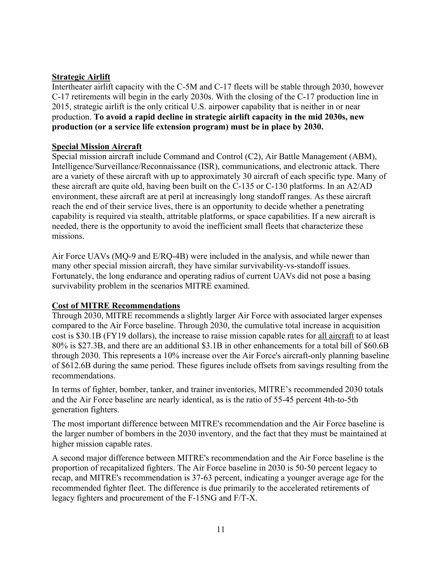# **Strategic Airlift**

Intertheater airlift capacity with the C-5M and C-17 fleets will be stable through 2030, however C-17 retirements will begin in the early 2030s. With the closing of the C-17 production line in 2015, strategic airlift is the only critical U.S. airpower capability that is neither in or near production. **To avoid a rapid decline in strategic airlift capacity in the mid 2030s, new production (or a service life extension program) must be in place by 2030.**

# **Special Mission Aircraft**

Special mission aircraft include Command and Control (C2), Air Battle Management (ABM), Intelligence/Surveillance/Reconnaissance (ISR), communications, and electronic attack. There are a variety of these aircraft with up to approximately 30 aircraft of each specific type. Many of these aircraft are quite old, having been built on the C-135 or C-130 platforms. In an A2/AD environment, these aircraft are at peril at increasingly long standoff ranges. As these aircraft reach the end of their service lives, there is an opportunity to decide whether a penetrating capability is required via stealth, attritable platforms, or space capabilities. If a new aircraft is needed, there is the opportunity to avoid the inefficient small fleets that characterize these missions.

Air Force UAVs (MQ-9 and E/RQ-4B) were included in the analysis, and while newer than many other special mission aircraft, they have similar survivability-vs-standoff issues. Fortunately, the long endurance and operating radius of current UAVs did not pose a basing survivability problem in the scenarios MITRE examined.

# **Cost of MITRE Recommendations**

Through 2030, MITRE recommends a slightly larger Air Force with associated larger expenses compared to the Air Force baseline. Through 2030, the cumulative total increase in acquisition cost is \$30.1B (FY19 dollars), the increase to raise mission capable rates for all aircraft to at least 80% is \$27.3B, and there are an additional \$3.1B in other enhancements for a total bill of \$60.6B through 2030. This represents a 10% increase over the Air Force's aircraft-only planning baseline of \$612.6B during the same period. These figures include offsets from savings resulting from the recommendations.

In terms of fighter, bomber, tanker, and trainer inventories, MITRE's recommended 2030 totals and the Air Force baseline are nearly identical, as is the ratio of 55-45 percent 4th-to-5th generation fighters.

The most important difference between MITRE's recommendation and the Air Force baseline is the larger number of bombers in the 2030 inventory, and the fact that they must be maintained at higher mission capable rates.

A second major difference between MITRE's recommendation and the Air Force baseline is the proportion of recapitalized fighters. The Air Force baseline in 2030 is 50-50 percent legacy to recap, and MITRE's recommendation is 37-63 percent, indicating a younger average age for the recommended fighter fleet. The difference is due primarily to the accelerated retirements of legacy fighters and procurement of the F-15NG and F/T-X.